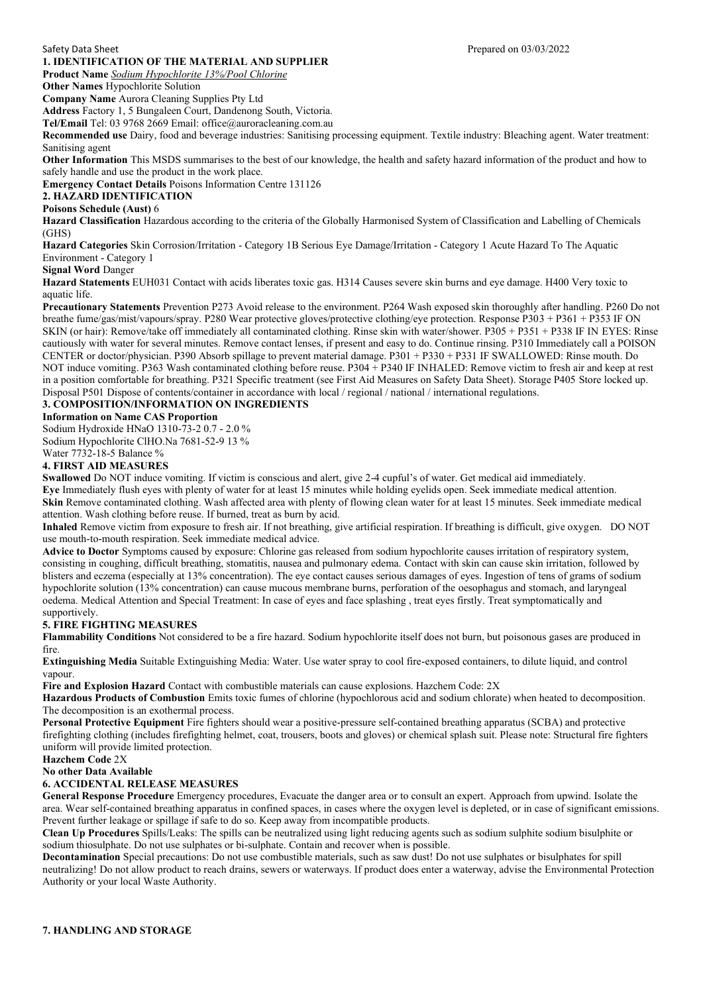## **1. IDENTIFICATION OF THE MATERIAL AND SUPPLIER**

**Product Name** *Sodium Hypochlorite 13%/Pool Chlorine*

**Other Names Hypochlorite Solution** 

**Company Name** Aurora Cleaning Supplies Pty Ltd

**Address** Factory 1, 5 Bungaleen Court, Dandenong South, Victoria.

**Tel/Email** Tel: 03 9768 2669 Email: office@auroracleaning.com.au

**Recommended use** Dairy, food and beverage industries: Sanitising processing equipment. Textile industry: Bleaching agent. Water treatment: Sanitising agent

**Other Information** This MSDS summarises to the best of our knowledge, the health and safety hazard information of the product and how to safely handle and use the product in the work place.

**Emergency Contact Details** Poisons Information Centre 131126

## **2. HAZARD IDENTIFICATION**

# **Poisons Schedule (Aust)** 6

**Hazard Classification** Hazardous according to the criteria of the Globally Harmonised System of Classification and Labelling of Chemicals (GHS)

**Hazard Categories** Skin Corrosion/Irritation - Category 1B Serious Eye Damage/Irritation - Category 1 Acute Hazard To The Aquatic Environment - Category 1

**Signal Word** Danger

**Hazard Statements** EUH031 Contact with acids liberates toxic gas. H314 Causes severe skin burns and eye damage. H400 Very toxic to aquatic life.

**Precautionary Statements** Prevention P273 Avoid release to the environment. P264 Wash exposed skin thoroughly after handling. P260 Do not breathe fume/gas/mist/vapours/spray. P280 Wear protective gloves/protective clothing/eye protection. Response P303 + P361 + P353 IF ON SKIN (or hair): Remove/take off immediately all contaminated clothing. Rinse skin with water/shower. P305 + P351 + P338 IF IN EYES: Rinse cautiously with water for several minutes. Remove contact lenses, if present and easy to do. Continue rinsing. P310 Immediately call a POISON CENTER or doctor/physician. P390 Absorb spillage to prevent material damage. P301 + P330 + P331 IF SWALLOWED: Rinse mouth. Do NOT induce vomiting. P363 Wash contaminated clothing before reuse. P304 + P340 IF INHALED: Remove victim to fresh air and keep at rest in a position comfortable for breathing. P321 Specific treatment (see First Aid Measures on Safety Data Sheet). Storage P405 Store locked up. Disposal P501 Dispose of contents/container in accordance with local / regional / national / international regulations.

## **3. COMPOSITION/INFORMATION ON INGREDIENTS**

#### **Information on Name CAS Proportion**

Sodium Hydroxide HNaO 1310-73-2 0.7 - 2.0 % Sodium Hypochlorite ClHO.Na 7681-52-9 13 %

Water 7732-18-5 Balance %

## **4. FIRST AID MEASURES**

**Swallowed** Do NOT induce vomiting. If victim is conscious and alert, give 2-4 cupful's of water. Get medical aid immediately.

**Eye** Immediately flush eyes with plenty of water for at least 15 minutes while holding eyelids open. Seek immediate medical attention. **Skin** Remove contaminated clothing. Wash affected area with plenty of flowing clean water for at least 15 minutes. Seek immediate medical attention. Wash clothing before reuse. If burned, treat as burn by acid.

**Inhaled** Remove victim from exposure to fresh air. If not breathing, give artificial respiration. If breathing is difficult, give oxygen. DO NOT use mouth-to-mouth respiration. Seek immediate medical advice.

**Advice to Doctor** Symptoms caused by exposure: Chlorine gas released from sodium hypochlorite causes irritation of respiratory system, consisting in coughing, difficult breathing, stomatitis, nausea and pulmonary edema. Contact with skin can cause skin irritation, followed by blisters and eczema (especially at 13% concentration). The eye contact causes serious damages of eyes. Ingestion of tens of grams of sodium hypochlorite solution (13% concentration) can cause mucous membrane burns, perforation of the oesophagus and stomach, and laryngeal oedema. Medical Attention and Special Treatment: In case of eyes and face splashing , treat eyes firstly. Treat symptomatically and supportively.

### **5. FIRE FIGHTING MEASURES**

**Flammability Conditions** Not considered to be a fire hazard. Sodium hypochlorite itself does not burn, but poisonous gases are produced in fire.

**Extinguishing Media** Suitable Extinguishing Media: Water. Use water spray to cool fire-exposed containers, to dilute liquid, and control vapour.

**Fire and Explosion Hazard** Contact with combustible materials can cause explosions. Hazchem Code: 2X

**Hazardous Products of Combustion** Emits toxic fumes of chlorine (hypochlorous acid and sodium chlorate) when heated to decomposition. The decomposition is an exothermal process.

**Personal Protective Equipment** Fire fighters should wear a positive-pressure self-contained breathing apparatus (SCBA) and protective firefighting clothing (includes firefighting helmet, coat, trousers, boots and gloves) or chemical splash suit. Please note: Structural fire fighters uniform will provide limited protection.

**Hazchem Code** 2X

## **No other Data Available**

## **6. ACCIDENTAL RELEASE MEASURES**

**General Response Procedure** Emergency procedures, Evacuate the danger area or to consult an expert. Approach from upwind. Isolate the area. Wear self-contained breathing apparatus in confined spaces, in cases where the oxygen level is depleted, or in case of significant emissions. Prevent further leakage or spillage if safe to do so. Keep away from incompatible products.

**Clean Up Procedures** Spills/Leaks: The spills can be neutralized using light reducing agents such as sodium sulphite sodium bisulphite or sodium thiosulphate. Do not use sulphates or bi-sulphate. Contain and recover when is possible.

**Decontamination** Special precautions: Do not use combustible materials, such as saw dust! Do not use sulphates or bisulphates for spill neutralizing! Do not allow product to reach drains, sewers or waterways. If product does enter a waterway, advise the Environmental Protection Authority or your local Waste Authority.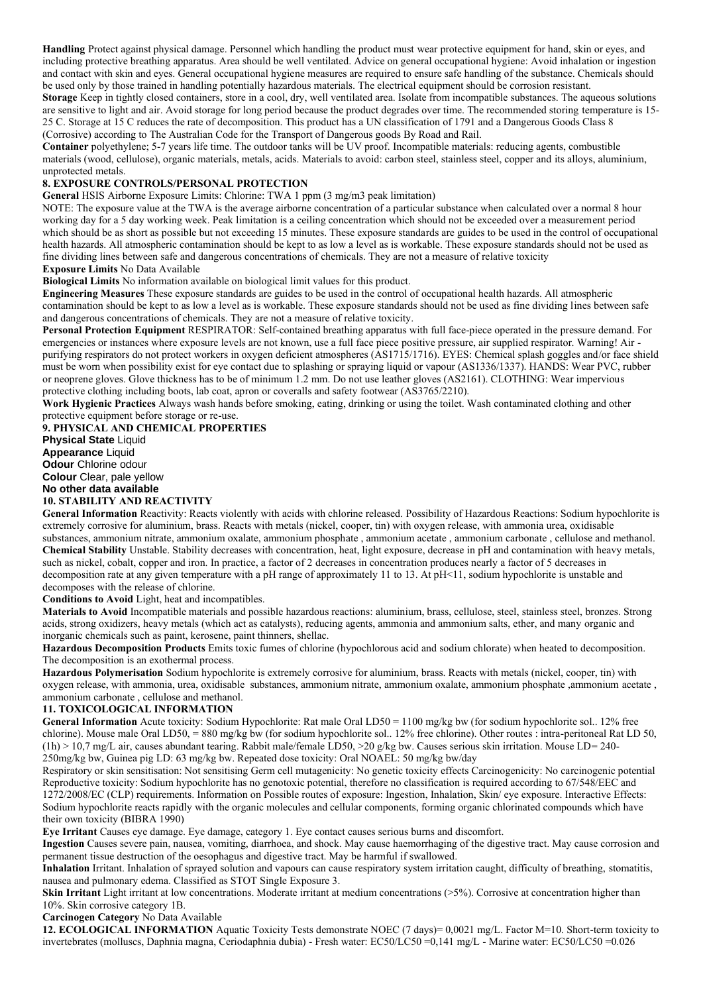**Handling** Protect against physical damage. Personnel which handling the product must wear protective equipment for hand, skin or eyes, and including protective breathing apparatus. Area should be well ventilated. Advice on general occupational hygiene: Avoid inhalation or ingestion and contact with skin and eyes. General occupational hygiene measures are required to ensure safe handling of the substance. Chemicals should be used only by those trained in handling potentially hazardous materials. The electrical equipment should be corrosion resistant. **Storage** Keep in tightly closed containers, store in a cool, dry, well ventilated area. Isolate from incompatible substances. The aqueous solutions

are sensitive to light and air. Avoid storage for long period because the product degrades over time. The recommended storing temperature is 15- 25 C. Storage at 15 C reduces the rate of decomposition. This product has a UN classification of 1791 and a Dangerous Goods Class 8 (Corrosive) according to The Australian Code for the Transport of Dangerous goods By Road and Rail.

**Container** polyethylene; 5-7 years life time. The outdoor tanks will be UV proof. Incompatible materials: reducing agents, combustible materials (wood, cellulose), organic materials, metals, acids. Materials to avoid: carbon steel, stainless steel, copper and its alloys, aluminium, unprotected metals.

## **8. EXPOSURE CONTROLS/PERSONAL PROTECTION**

**General** HSIS Airborne Exposure Limits: Chlorine: TWA 1 ppm (3 mg/m3 peak limitation)

NOTE: The exposure value at the TWA is the average airborne concentration of a particular substance when calculated over a normal 8 hour working day for a 5 day working week. Peak limitation is a ceiling concentration which should not be exceeded over a measurement period which should be as short as possible but not exceeding 15 minutes. These exposure standards are guides to be used in the control of occupational health hazards. All atmospheric contamination should be kept to as low a level as is workable. These exposure standards should not be used as fine dividing lines between safe and dangerous concentrations of chemicals. They are not a measure of relative toxicity **Exposure Limits** No Data Available

**Biological Limits** No information available on biological limit values for this product.

**Engineering Measures** These exposure standards are guides to be used in the control of occupational health hazards. All atmospheric contamination should be kept to as low a level as is workable. These exposure standards should not be used as fine dividing lines between safe and dangerous concentrations of chemicals. They are not a measure of relative toxicity.

**Personal Protection Equipment** RESPIRATOR: Self-contained breathing apparatus with full face-piece operated in the pressure demand. For emergencies or instances where exposure levels are not known, use a full face piece positive pressure, air supplied respirator. Warning! Air purifying respirators do not protect workers in oxygen deficient atmospheres (AS1715/1716). EYES: Chemical splash goggles and/or face shield must be worn when possibility exist for eye contact due to splashing or spraying liquid or vapour (AS1336/1337). HANDS: Wear PVC, rubber or neoprene gloves. Glove thickness has to be of minimum 1.2 mm. Do not use leather gloves (AS2161). CLOTHING: Wear impervious protective clothing including boots, lab coat, apron or coveralls and safety footwear (AS3765/2210).

**Work Hygienic Practices** Always wash hands before smoking, eating, drinking or using the toilet. Wash contaminated clothing and other protective equipment before storage or re-use.

**9. PHYSICAL AND CHEMICAL PROPERTIES Physical State** Liquid **Appearance** Liquid **Odour** Chlorine odour **Colour** Clear, pale yellow **No other data available**

# **10. STABILITY AND REACTIVITY**

**General Information** Reactivity: Reacts violently with acids with chlorine released. Possibility of Hazardous Reactions: Sodium hypochlorite is extremely corrosive for aluminium, brass. Reacts with metals (nickel, cooper, tin) with oxygen release, with ammonia urea, oxidisable substances, ammonium nitrate, ammonium oxalate, ammonium phosphate , ammonium acetate , ammonium carbonate , cellulose and methanol. **Chemical Stability** Unstable. Stability decreases with concentration, heat, light exposure, decrease in pH and contamination with heavy metals, such as nickel, cobalt, copper and iron. In practice, a factor of 2 decreases in concentration produces nearly a factor of 5 decreases in decomposition rate at any given temperature with a pH range of approximately 11 to 13. At pH<11, sodium hypochlorite is unstable and decomposes with the release of chlorine.

**Conditions to Avoid** Light, heat and incompatibles.

**Materials to Avoid** Incompatible materials and possible hazardous reactions: aluminium, brass, cellulose, steel, stainless steel, bronzes. Strong acids, strong oxidizers, heavy metals (which act as catalysts), reducing agents, ammonia and ammonium salts, ether, and many organic and inorganic chemicals such as paint, kerosene, paint thinners, shellac.

**Hazardous Decomposition Products** Emits toxic fumes of chlorine (hypochlorous acid and sodium chlorate) when heated to decomposition. The decomposition is an exothermal process.

**Hazardous Polymerisation** Sodium hypochlorite is extremely corrosive for aluminium, brass. Reacts with metals (nickel, cooper, tin) with oxygen release, with ammonia, urea, oxidisable substances, ammonium nitrate, ammonium oxalate, ammonium phosphate ,ammonium acetate , ammonium carbonate , cellulose and methanol.

### **11. TOXICOLOGICAL INFORMATION**

General Information Acute toxicity: Sodium Hypochlorite: Rat male Oral LD50 = 1100 mg/kg bw (for sodium hypochlorite sol.. 12% free chlorine). Mouse male Oral LD50, = 880 mg/kg bw (for sodium hypochlorite sol.. 12% free chlorine). Other routes : intra-peritoneal Rat LD 50,  $(1h)$  > 10,7 mg/L air, causes abundant tearing. Rabbit male/female LD50, >20 g/kg bw. Causes serious skin irritation. Mouse LD= 240-250mg/kg bw, Guinea pig LD: 63 mg/kg bw. Repeated dose toxicity: Oral NOAEL: 50 mg/kg bw/day

Respiratory or skin sensitisation: Not sensitising Germ cell mutagenicity: No genetic toxicity effects Carcinogenicity: No carcinogenic potential Reproductive toxicity: Sodium hypochlorite has no genotoxic potential, therefore no classification is required according to 67/548/EEC and 1272/2008/EC (CLP) requirements. Information on Possible routes of exposure: Ingestion, Inhalation, Skin/ eye exposure. Interactive Effects: Sodium hypochlorite reacts rapidly with the organic molecules and cellular components, forming organic chlorinated compounds which have their own toxicity (BIBRA 1990)

**Eye Irritant** Causes eye damage. Eye damage, category 1. Eye contact causes serious burns and discomfort.

**Ingestion** Causes severe pain, nausea, vomiting, diarrhoea, and shock. May cause haemorrhaging of the digestive tract. May cause corrosion and permanent tissue destruction of the oesophagus and digestive tract. May be harmful if swallowed.

**Inhalation** Irritant. Inhalation of sprayed solution and vapours can cause respiratory system irritation caught, difficulty of breathing, stomatitis, nausea and pulmonary edema. Classified as STOT Single Exposure 3.

**Skin Irritant** Light irritant at low concentrations. Moderate irritant at medium concentrations (>5%). Corrosive at concentration higher than 10%. Skin corrosive category 1B.

**Carcinogen Category** No Data Available

**12. ECOLOGICAL INFORMATION** Aquatic Toxicity Tests demonstrate NOEC (7 days)= 0,0021 mg/L. Factor M=10. Short-term toxicity to invertebrates (molluscs, Daphnia magna, Ceriodaphnia dubia) - Fresh water: EC50/LC50 =0,141 mg/L - Marine water: EC50/LC50 =0.026